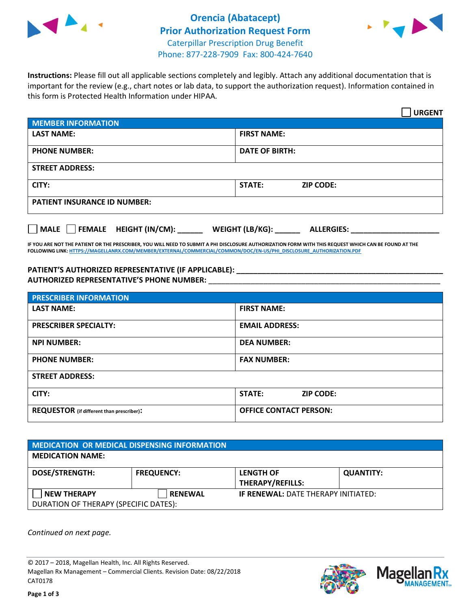



**Instructions:** Please fill out all applicable sections completely and legibly. Attach any additional documentation that is important for the review (e.g., chart notes or lab data, to support the authorization request). Information contained in this form is Protected Health Information under HIPAA.

|                                            | <b>URGENT</b>                        |  |
|--------------------------------------------|--------------------------------------|--|
| <b>MEMBER INFORMATION</b>                  |                                      |  |
| <b>LAST NAME:</b>                          | <b>FIRST NAME:</b>                   |  |
| <b>PHONE NUMBER:</b>                       | <b>DATE OF BIRTH:</b>                |  |
| <b>STREET ADDRESS:</b>                     |                                      |  |
| CITY:                                      | STATE:<br><b>ZIP CODE:</b>           |  |
| <b>PATIENT INSURANCE ID NUMBER:</b>        |                                      |  |
| FEMALE HEIGHT (IN/CM):<br>$ $ MALE $ $ $ $ | WEIGHT (LB/KG):<br><b>ALLERGIES:</b> |  |

**IF YOU ARE NOT THE PATIENT OR THE PRESCRIBER, YOU WILL NEED TO SUBMIT A PHI DISCLOSURE AUTHORIZATION FORM WITH THIS REQUEST WHICH CAN BE FOUND AT THE FOLLOWING LINK[: HTTPS://MAGELLANRX.COM/MEMBER/EXTERNAL/COMMERCIAL/COMMON/DOC/EN-US/PHI\\_DISCLOSURE\\_AUTHORIZATION.PDF](https://magellanrx.com/member/external/commercial/common/doc/en-us/PHI_Disclosure_Authorization.pdf)**

**PATIENT'S AUTHORIZED REPRESENTATIVE (IF APPLICABLE): \_\_\_\_\_\_\_\_\_\_\_\_\_\_\_\_\_\_\_\_\_\_\_\_\_\_\_\_\_\_\_\_\_\_\_\_\_\_\_\_\_\_\_\_\_\_\_\_\_ AUTHORIZED REPRESENTATIVE'S PHONE NUMBER:** \_\_\_\_\_\_\_\_\_\_\_\_\_\_\_\_\_\_\_\_\_\_\_\_\_\_\_\_\_\_\_\_\_\_\_\_\_\_\_\_\_\_\_\_\_\_\_\_\_\_\_\_\_\_\_

| <b>PRESCRIBER INFORMATION</b>             |                                   |  |
|-------------------------------------------|-----------------------------------|--|
| <b>LAST NAME:</b>                         | <b>FIRST NAME:</b>                |  |
| <b>PRESCRIBER SPECIALTY:</b>              | <b>EMAIL ADDRESS:</b>             |  |
| <b>NPI NUMBER:</b>                        | <b>DEA NUMBER:</b>                |  |
| <b>PHONE NUMBER:</b>                      | <b>FAX NUMBER:</b>                |  |
| <b>STREET ADDRESS:</b>                    |                                   |  |
| CITY:                                     | <b>STATE:</b><br><b>ZIP CODE:</b> |  |
| REQUESTOR (if different than prescriber): | <b>OFFICE CONTACT PERSON:</b>     |  |

| <b>MEDICATION OR MEDICAL DISPENSING INFORMATION</b> |                   |                                             |                  |  |  |
|-----------------------------------------------------|-------------------|---------------------------------------------|------------------|--|--|
| <b>MEDICATION NAME:</b>                             |                   |                                             |                  |  |  |
| <b>DOSE/STRENGTH:</b>                               | <b>FREQUENCY:</b> | <b>LENGTH OF</b><br><b>THERAPY/REFILLS:</b> | <b>QUANTITY:</b> |  |  |
| <b>NEW THERAPY</b>                                  | <b>RENEWAL</b>    | <b>IF RENEWAL: DATE THERAPY INITIATED:</b>  |                  |  |  |
| DURATION OF THERAPY (SPECIFIC DATES):               |                   |                                             |                  |  |  |

*Continued on next page.*

© 2017 – 2018, Magellan Health, Inc. All Rights Reserved. Magellan Rx Management – Commercial Clients. Revision Date: 08/22/2018 CAT0178



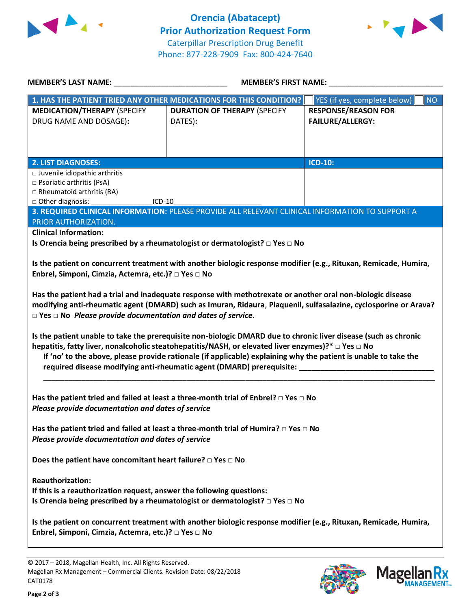



| <b>MEMBER'S LAST NAME:</b>                                                                                                                                                                                                                                                                                                                                                                                                                                                                                                                                                                                                                                                                                                                                                                                                                                                                                                                                                                                                                                         | <b>MEMBER'S FIRST NAME:</b>                                                                     |                                                       |  |  |  |
|--------------------------------------------------------------------------------------------------------------------------------------------------------------------------------------------------------------------------------------------------------------------------------------------------------------------------------------------------------------------------------------------------------------------------------------------------------------------------------------------------------------------------------------------------------------------------------------------------------------------------------------------------------------------------------------------------------------------------------------------------------------------------------------------------------------------------------------------------------------------------------------------------------------------------------------------------------------------------------------------------------------------------------------------------------------------|-------------------------------------------------------------------------------------------------|-------------------------------------------------------|--|--|--|
| 1. HAS THE PATIENT TRIED ANY OTHER MEDICATIONS FOR THIS CONDITION?                                                                                                                                                                                                                                                                                                                                                                                                                                                                                                                                                                                                                                                                                                                                                                                                                                                                                                                                                                                                 |                                                                                                 | YES (if yes, complete below)<br><b>NO</b>             |  |  |  |
| <b>MEDICATION/THERAPY (SPECIFY</b><br>DRUG NAME AND DOSAGE):                                                                                                                                                                                                                                                                                                                                                                                                                                                                                                                                                                                                                                                                                                                                                                                                                                                                                                                                                                                                       | <b>DURATION OF THERAPY (SPECIFY</b><br>DATES):                                                  | <b>RESPONSE/REASON FOR</b><br><b>FAILURE/ALLERGY:</b> |  |  |  |
| <b>2. LIST DIAGNOSES:</b>                                                                                                                                                                                                                                                                                                                                                                                                                                                                                                                                                                                                                                                                                                                                                                                                                                                                                                                                                                                                                                          |                                                                                                 | <b>ICD-10:</b>                                        |  |  |  |
| □ Juvenile idiopathic arthritis<br>□ Psoriatic arthritis (PsA)<br>$\Box$ Rheumatoid arthritis (RA)<br>□ Other diagnosis:<br>$ICD-10$                                                                                                                                                                                                                                                                                                                                                                                                                                                                                                                                                                                                                                                                                                                                                                                                                                                                                                                               |                                                                                                 |                                                       |  |  |  |
|                                                                                                                                                                                                                                                                                                                                                                                                                                                                                                                                                                                                                                                                                                                                                                                                                                                                                                                                                                                                                                                                    | 3. REQUIRED CLINICAL INFORMATION: PLEASE PROVIDE ALL RELEVANT CLINICAL INFORMATION TO SUPPORT A |                                                       |  |  |  |
| PRIOR AUTHORIZATION.<br><b>Clinical Information:</b><br>Is Orencia being prescribed by a rheumatologist or dermatologist? □ Yes □ No<br>Is the patient on concurrent treatment with another biologic response modifier (e.g., Rituxan, Remicade, Humira,<br>Enbrel, Simponi, Cimzia, Actemra, etc.)? □ Yes □ No<br>Has the patient had a trial and inadequate response with methotrexate or another oral non-biologic disease<br>modifying anti-rheumatic agent (DMARD) such as Imuran, Ridaura, Plaquenil, sulfasalazine, cyclosporine or Arava?<br>$\square$ Yes $\square$ No Please provide documentation and dates of service.<br>Is the patient unable to take the prerequisite non-biologic DMARD due to chronic liver disease (such as chronic<br>hepatitis, fatty liver, nonalcoholic steatohepatitis/NASH, or elevated liver enzymes)?* □ Yes □ No<br>If 'no' to the above, please provide rationale (if applicable) explaining why the patient is unable to take the<br>required disease modifying anti-rheumatic agent (DMARD) prerequisite: __________ |                                                                                                 |                                                       |  |  |  |
| Has the patient tried and failed at least a three-month trial of Enbrel? $\Box$ Yes $\Box$ No<br>Please provide documentation and dates of service<br>Has the patient tried and failed at least a three-month trial of Humira? $\Box$ Yes $\Box$ No<br>Please provide documentation and dates of service                                                                                                                                                                                                                                                                                                                                                                                                                                                                                                                                                                                                                                                                                                                                                           |                                                                                                 |                                                       |  |  |  |
| Does the patient have concomitant heart failure? $\square$ Yes $\square$ No                                                                                                                                                                                                                                                                                                                                                                                                                                                                                                                                                                                                                                                                                                                                                                                                                                                                                                                                                                                        |                                                                                                 |                                                       |  |  |  |
| <b>Reauthorization:</b><br>If this is a reauthorization request, answer the following questions:<br>Is Orencia being prescribed by a rheumatologist or dermatologist? □ Yes □ No                                                                                                                                                                                                                                                                                                                                                                                                                                                                                                                                                                                                                                                                                                                                                                                                                                                                                   |                                                                                                 |                                                       |  |  |  |
| Is the patient on concurrent treatment with another biologic response modifier (e.g., Rituxan, Remicade, Humira,<br>Enbrel, Simponi, Cimzia, Actemra, etc.)? □ Yes □ No                                                                                                                                                                                                                                                                                                                                                                                                                                                                                                                                                                                                                                                                                                                                                                                                                                                                                            |                                                                                                 |                                                       |  |  |  |

© 2017 – 2018, Magellan Health, Inc. All Rights Reserved. Magellan Rx Management – Commercial Clients. Revision Date: 08/22/2018 CAT0178